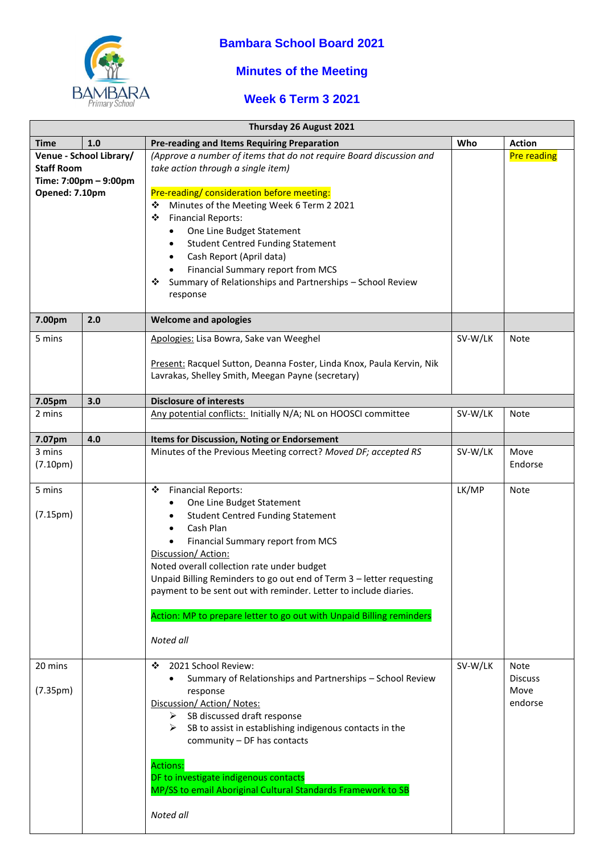

## **Bambara School Board 2021**

## **Minutes of the Meeting**

## **Week 6 Term 3 2021**

| Thursday 26 August 2021                                                                 |     |                                                                                                                                                                                                                                                                                                                                                                                                                                                                                               |         |                                           |  |
|-----------------------------------------------------------------------------------------|-----|-----------------------------------------------------------------------------------------------------------------------------------------------------------------------------------------------------------------------------------------------------------------------------------------------------------------------------------------------------------------------------------------------------------------------------------------------------------------------------------------------|---------|-------------------------------------------|--|
| <b>Time</b>                                                                             | 1.0 | <b>Pre-reading and Items Requiring Preparation</b>                                                                                                                                                                                                                                                                                                                                                                                                                                            | Who     | <b>Action</b>                             |  |
| Venue - School Library/<br><b>Staff Room</b><br>Time: 7:00pm - 9:00pm<br>Opened: 7.10pm |     | (Approve a number of items that do not require Board discussion and<br>take action through a single item)<br>Pre-reading/ consideration before meeting:<br>Minutes of the Meeting Week 6 Term 2 2021<br>❖<br><b>Financial Reports:</b><br>❖<br>One Line Budget Statement<br>$\bullet$<br><b>Student Centred Funding Statement</b><br>$\bullet$<br>Cash Report (April data)<br>Financial Summary report from MCS<br>Summary of Relationships and Partnerships - School Review<br>❖<br>response |         | <b>Pre reading</b>                        |  |
| 7.00pm                                                                                  | 2.0 | <b>Welcome and apologies</b>                                                                                                                                                                                                                                                                                                                                                                                                                                                                  |         |                                           |  |
| 5 mins                                                                                  |     | Apologies: Lisa Bowra, Sake van Weeghel<br>Present: Racquel Sutton, Deanna Foster, Linda Knox, Paula Kervin, Nik<br>Lavrakas, Shelley Smith, Meegan Payne (secretary)                                                                                                                                                                                                                                                                                                                         | SV-W/LK | Note                                      |  |
| 7.05pm                                                                                  | 3.0 | <b>Disclosure of interests</b>                                                                                                                                                                                                                                                                                                                                                                                                                                                                |         |                                           |  |
| 2 mins                                                                                  |     | Any potential conflicts: Initially N/A; NL on HOOSCI committee                                                                                                                                                                                                                                                                                                                                                                                                                                | SV-W/LK | Note                                      |  |
| 7.07pm                                                                                  | 4.0 | Items for Discussion, Noting or Endorsement                                                                                                                                                                                                                                                                                                                                                                                                                                                   |         |                                           |  |
| 3 mins<br>(7.10 <sub>pm</sub> )                                                         |     | Minutes of the Previous Meeting correct? Moved DF; accepted RS                                                                                                                                                                                                                                                                                                                                                                                                                                | SV-W/LK | Move<br>Endorse                           |  |
| 5 mins<br>(7.15 <sub>pm</sub> )                                                         |     | <b>Financial Reports:</b><br>❖<br>One Line Budget Statement<br><b>Student Centred Funding Statement</b><br>Cash Plan<br>Financial Summary report from MCS<br>Discussion/Action:<br>Noted overall collection rate under budget<br>Unpaid Billing Reminders to go out end of Term 3 - letter requesting<br>payment to be sent out with reminder. Letter to include diaries.<br>Action: MP to prepare letter to go out with Unpaid Billing reminders<br>Noted all                                | LK/MP   | Note                                      |  |
| 20 mins<br>(7.35 <sub>pm</sub> )                                                        |     | 2021 School Review:<br>❖<br>Summary of Relationships and Partnerships - School Review<br>response<br>Discussion/ Action/ Notes:<br>SB discussed draft response<br>≻<br>SB to assist in establishing indigenous contacts in the<br>➤<br>community - DF has contacts<br><b>Actions:</b><br>DF to investigate indigenous contacts<br>MP/SS to email Aboriginal Cultural Standards Framework to SB<br>Noted all                                                                                   | SV-W/LK | Note<br><b>Discuss</b><br>Move<br>endorse |  |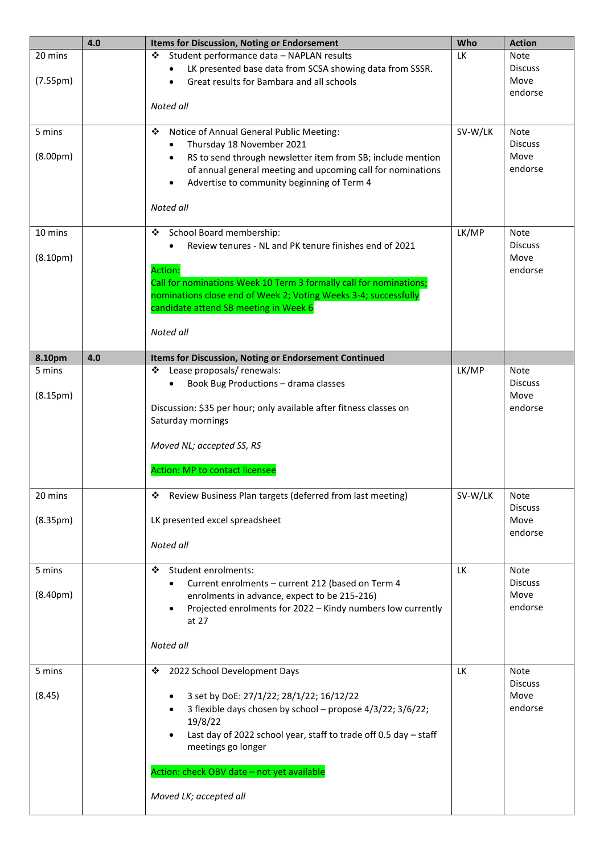|                       | 4.0 | <b>Items for Discussion, Noting or Endorsement</b>                                     | Who       | <b>Action</b>   |
|-----------------------|-----|----------------------------------------------------------------------------------------|-----------|-----------------|
| 20 mins               |     | Student performance data - NAPLAN results<br>❖                                         | <b>LK</b> | Note            |
|                       |     | LK presented base data from SCSA showing data from SSSR.                               |           | <b>Discuss</b>  |
| (7.55 <sub>pm</sub> ) |     | Great results for Bambara and all schools                                              |           | Move            |
|                       |     |                                                                                        |           | endorse         |
|                       |     | Noted all                                                                              |           |                 |
| 5 mins                |     | Notice of Annual General Public Meeting:<br>❖                                          | SV-W/LK   | Note            |
|                       |     | Thursday 18 November 2021                                                              |           | <b>Discuss</b>  |
| (8.00 <sub>pm</sub> ) |     | RS to send through newsletter item from SB; include mention<br>$\bullet$               |           | Move            |
|                       |     | of annual general meeting and upcoming call for nominations                            |           | endorse         |
|                       |     | Advertise to community beginning of Term 4<br>$\bullet$                                |           |                 |
|                       |     |                                                                                        |           |                 |
|                       |     | Noted all                                                                              |           |                 |
| 10 mins               |     | School Board membership:<br>❖                                                          | LK/MP     | Note            |
|                       |     | Review tenures - NL and PK tenure finishes end of 2021                                 |           | <b>Discuss</b>  |
| (8.10 <sub>pm</sub> ) |     |                                                                                        |           | Move            |
|                       |     | <b>Action:</b>                                                                         |           | endorse         |
|                       |     | Call for nominations Week 10 Term 3 formally call for nominations;                     |           |                 |
|                       |     | nominations close end of Week 2; Voting Weeks 3-4; successfully                        |           |                 |
|                       |     | candidate attend SB meeting in Week 6                                                  |           |                 |
|                       |     | Noted all                                                                              |           |                 |
|                       |     |                                                                                        |           |                 |
| 8.10pm                | 4.0 | Items for Discussion, Noting or Endorsement Continued                                  |           |                 |
| 5 mins                |     | Lease proposals/ renewals:<br>❖                                                        | LK/MP     | <b>Note</b>     |
|                       |     | Book Bug Productions - drama classes<br>$\bullet$                                      |           | <b>Discuss</b>  |
| (8.15 <sub>pm</sub> ) |     | Discussion: \$35 per hour; only available after fitness classes on                     |           | Move<br>endorse |
|                       |     | Saturday mornings                                                                      |           |                 |
|                       |     |                                                                                        |           |                 |
|                       |     | Moved NL; accepted SS, RS                                                              |           |                 |
|                       |     |                                                                                        |           |                 |
|                       |     | <b>Action: MP to contact licensee</b>                                                  |           |                 |
| 20 mins               |     | Review Business Plan targets (deferred from last meeting)<br>❖                         | SV-W/LK   | Note            |
|                       |     |                                                                                        |           | <b>Discuss</b>  |
| (8.35 <sub>pm</sub> ) |     | LK presented excel spreadsheet                                                         |           | Move            |
|                       |     |                                                                                        |           | endorse         |
|                       |     | Noted all                                                                              |           |                 |
| 5 mins                |     | Student enrolments:<br>❖                                                               | LK        | <b>Note</b>     |
|                       |     | Current enrolments - current 212 (based on Term 4                                      |           | <b>Discuss</b>  |
| (8.40 <sub>pm</sub> ) |     | enrolments in advance, expect to be 215-216)                                           |           | Move            |
|                       |     | Projected enrolments for 2022 - Kindy numbers low currently<br>$\bullet$               |           | endorse         |
|                       |     | at 27                                                                                  |           |                 |
|                       |     | Noted all                                                                              |           |                 |
|                       |     |                                                                                        |           |                 |
| 5 mins                |     | 2022 School Development Days<br>❖                                                      | <b>LK</b> | Note            |
|                       |     |                                                                                        |           | <b>Discuss</b>  |
| (8.45)                |     | 3 set by DoE: 27/1/22; 28/1/22; 16/12/22                                               |           | Move            |
|                       |     | 3 flexible days chosen by school - propose 4/3/22; 3/6/22;                             |           | endorse         |
|                       |     | 19/8/22                                                                                |           |                 |
|                       |     | Last day of 2022 school year, staff to trade off 0.5 day - staff<br>meetings go longer |           |                 |
|                       |     |                                                                                        |           |                 |
|                       |     | Action: check OBV date - not yet available                                             |           |                 |
|                       |     |                                                                                        |           |                 |
|                       |     | Moved LK; accepted all                                                                 |           |                 |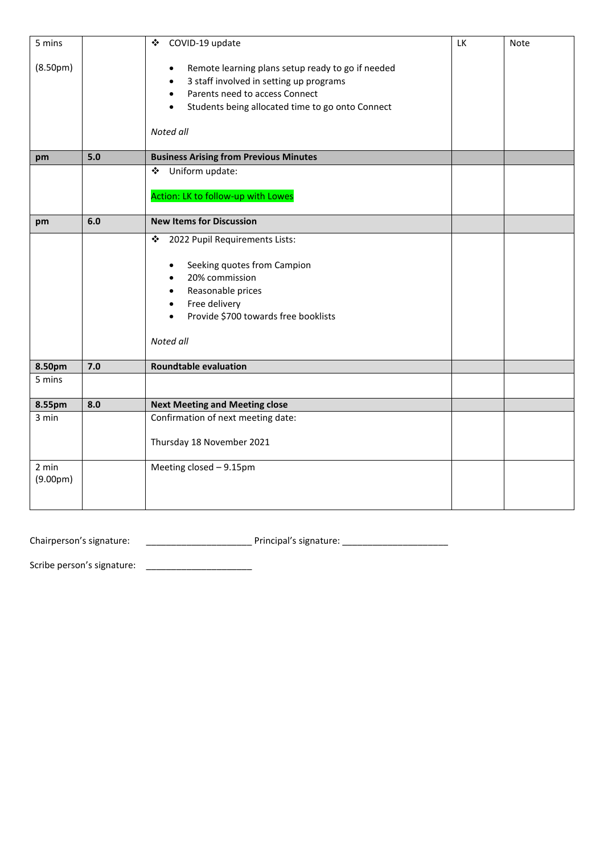| 5 mins                |     | COVID-19 update<br>❖                                          | LK | Note |
|-----------------------|-----|---------------------------------------------------------------|----|------|
| (8.50 <sub>pm</sub> ) |     | Remote learning plans setup ready to go if needed<br>٠        |    |      |
|                       |     | 3 staff involved in setting up programs<br>$\bullet$          |    |      |
|                       |     | Parents need to access Connect<br>$\bullet$                   |    |      |
|                       |     | Students being allocated time to go onto Connect<br>$\bullet$ |    |      |
|                       |     |                                                               |    |      |
|                       |     | Noted all                                                     |    |      |
|                       |     |                                                               |    |      |
| pm                    | 5.0 | <b>Business Arising from Previous Minutes</b>                 |    |      |
|                       |     | Uniform update:<br>❖                                          |    |      |
|                       |     |                                                               |    |      |
|                       |     | Action: LK to follow-up with Lowes                            |    |      |
| pm                    | 6.0 | <b>New Items for Discussion</b>                               |    |      |
|                       |     |                                                               |    |      |
|                       |     | 2022 Pupil Requirements Lists:<br>❖                           |    |      |
|                       |     | Seeking quotes from Campion<br>$\bullet$                      |    |      |
|                       |     | 20% commission<br>$\bullet$                                   |    |      |
|                       |     | Reasonable prices                                             |    |      |
|                       |     | $\bullet$<br>Free delivery                                    |    |      |
|                       |     | $\bullet$<br>Provide \$700 towards free booklists             |    |      |
|                       |     | $\bullet$                                                     |    |      |
|                       |     | Noted all                                                     |    |      |
|                       |     |                                                               |    |      |
| 8.50pm                | 7.0 | <b>Roundtable evaluation</b>                                  |    |      |
| 5 mins                |     |                                                               |    |      |
|                       |     |                                                               |    |      |
| 8.55pm                | 8.0 | <b>Next Meeting and Meeting close</b>                         |    |      |
| 3 min                 |     | Confirmation of next meeting date:                            |    |      |
|                       |     | Thursday 18 November 2021                                     |    |      |
|                       |     |                                                               |    |      |
| 2 min                 |     | Meeting closed - 9.15pm                                       |    |      |
| (9.00 <sub>pm</sub> ) |     |                                                               |    |      |
|                       |     |                                                               |    |      |
|                       |     |                                                               |    |      |

Chairperson's signature: \_\_\_\_\_\_\_\_\_\_\_\_\_\_\_\_\_\_\_\_\_ Principal's signature: \_\_\_\_\_\_\_\_\_\_\_\_\_\_\_\_\_\_\_\_\_

Scribe person's signature: \_\_\_\_\_\_\_\_\_\_\_\_\_\_\_\_\_\_\_\_\_